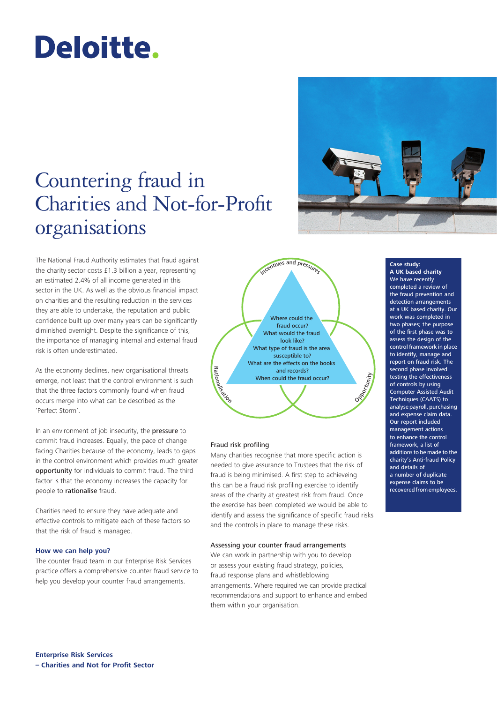# Deloitte.

# Countering fraud in Charities and Not-for-Profit organisations

The National Fraud Authority estimates that fraud against the charity sector costs £1.3 billion a year, representing an estimated 2.4% of all income generated in this sector in the UK. As well as the obvious financial impact on charities and the resulting reduction in the services they are able to undertake, the reputation and public confidence built up over many years can be significantly diminished overnight. Despite the significance of this, the importance of managing internal and external fraud risk is often underestimated.

As the economy declines, new organisational threats emerge, not least that the control environment is such that the three factors commonly found when fraud occurs merge into what can be described as the 'Perfect Storm'.

In an environment of job insecurity, the pressure to commit fraud increases. Equally, the pace of change facing Charities because of the economy, leads to gaps in the control environment which provides much greater opportunity for individuals to commit fraud. The third factor is that the economy increases the capacity for people to rationalise fraud.

Charities need to ensure they have adequate and effective controls to mitigate each of these factors so that the risk of fraud is managed.

# **How we can help you?**

The counter fraud team in our Enterprise Risk Services practice offers a comprehensive counter fraud service to help you develop your counter fraud arrangements.

Where could the fraud occur? What would the fraud look like? What type of fraud is the area susceptible to? What are the effects on the books and records? When could the fraud occur? Incentives and pressure onalisation Opportunity

# Fraud risk profiling

Rati

Many charities recognise that more specific action is needed to give assurance to Trustees that the risk of fraud is being minimised. A first step to achieveing this can be a fraud risk profiling exercise to identify areas of the charity at greatest risk from fraud. Once the exercise has been completed we would be able to identify and assess the significance of specific fraud risks and the controls in place to manage these risks.

# Assessing your counter fraud arrangements

We can work in partnership with you to develop or assess your existing fraud strategy, policies, fraud response plans and whistleblowing arrangements. Where required we can provide practical recommendations and support to enhance and embed them within your organisation.



**Case study: A UK based charity** We have recently completed a review of the fraud prevention and detection arrangements at a UK based charity. Our work was completed in two phases; the purpose of the first phase was to assess the design of the control framework in place to identify, manage and report on fraud risk. The second phase involved testing the effectiveness of controls by using Computer Assisted Audit Techniques (CAATS) to analyse payroll, purchasing and expense claim data. Our report included management actions to enhance the control framework, a list of additions to be made to the charity's Anti-fraud Policy and details of a number of duplicate expense claims to be recovered from employees.